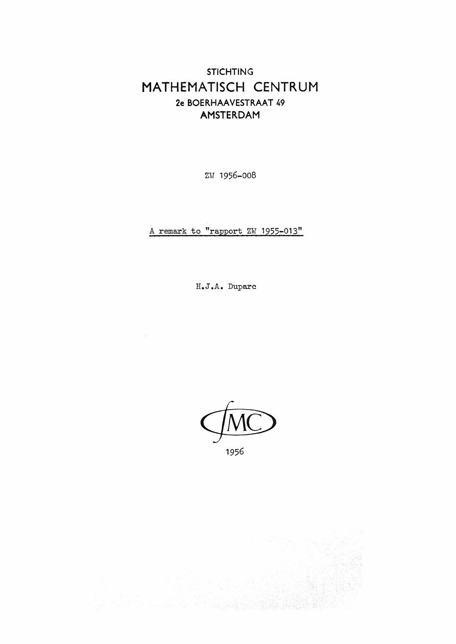## **STICHTING** MATHEMATISCH CENTRUM 2e BOERHAAVESTRAAT 49 AMSTERDAM

zw 1956-008

A remark to "rapport ZW 1955-013"

H.J.A. Duparc

1956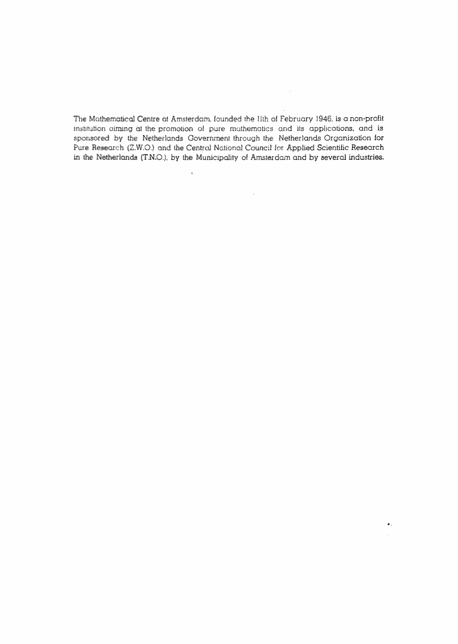The Mathematical Centre at Amsterdam, founded the 11th of February 1946, is a non-profit institution aiming at the promotion of pure mathematics and its applications, and is sponsored by the Netherlands Government through the Netherlands Organization for Pure Research (Z.W.O.) and the Central National Council for Applied Scientific Research in the Netherlands (T.N.O.), by the Municipality of Amsterdam and by several industries.

 $\ddot{\phantom{a}}$ 

 $\mathcal{L}_{\mathcal{A}}$ 

 $\bullet$ .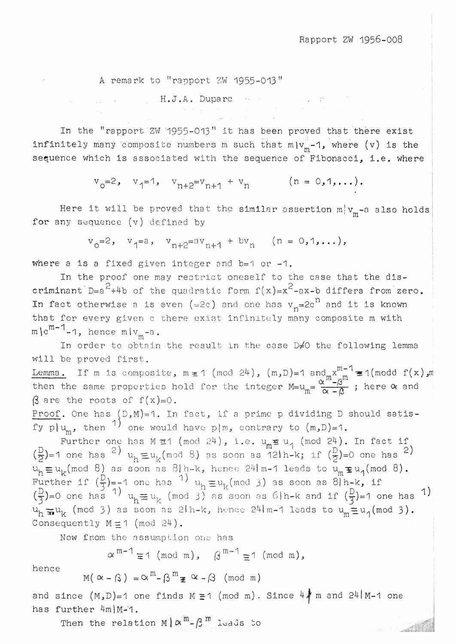A remark to "rapport ZW 1955-013"

$$
\mathbb{P}^1 = \{ \mathbf{H}_\bullet \mathbf{J}_\bullet \mathbf{A}_\bullet \mid \text{Dupare} \mid \mathbf{f} \text{ is a finite number } \mathbf{f} \text{ is a finite number } \mathbf{f} \text{ is a finite number } \mathbf{f} \text{ is a finite number } \mathbf{f} \text{ is a finite number } \mathbf{f} \text{ is a finite number } \mathbf{f} \text{ is a finite number } \mathbf{f} \text{ is a finite number } \mathbf{f} \text{ is a finite number } \mathbf{f} \text{ is a finite number } \mathbf{f} \text{ is a finite number } \mathbf{f} \text{ is a finite number } \mathbf{f} \text{ is a finite number } \mathbf{f} \text{ is a finite number } \mathbf{f} \text{ is a finite number } \mathbf{f} \text{ is a finite number } \mathbf{f} \text{ is a finite number } \mathbf{f} \text{ is a finite number } \mathbf{f} \text{ is a finite number } \mathbf{f} \text{ is a finite number } \mathbf{f} \text{ is a finite number } \mathbf{f} \text{ is a finite number } \mathbf{f} \text{ is a finite number } \mathbf{f} \text{ is a finite number } \mathbf{f} \text{ is a finite number } \mathbf{f} \text{ is a finite number } \mathbf{f} \text{ is a finite number } \mathbf{f} \text{ is a finite number } \mathbf{f} \text{ is a finite number } \mathbf{f} \text{ is a finite number } \mathbf{f} \text{ is a finite number } \mathbf{f} \text{ is a finite number } \mathbf{f} \text{ is a finite number } \mathbf{f} \text{ is a finite number } \mathbf{f} \text{ is a finite number } \mathbf{f} \text{ is a finite number } \mathbf{f} \text{ is a finite number } \mathbf{f} \text{ is a finite number } \mathbf{f} \text{ is a finite number } \mathbf{f} \text{ is a finite number } \mathbf{f} \text{ is a finite number } \mathbf{f} \text{ is a finite number } \mathbf{f} \text{ is a finite number } \mathbf{f} \text{ is a finite number } \mathbf{f} \text{ is a finite number } \mathbf{f} \text{ is a finite number } \mathbf{f} \text{ is a finite number } \mathbf{f} \text{ is a finite number } \mathbf{f} \text{ is a finite number } \mathbf{f} \text{ is a finite number } \mathbf{f} \text{ is a finite number }
$$

In the "rapport ZW 1955-013" it has been proved that there exist infinitely many composite numbers m such that  $m\{v_{m}-1\}$ , where (v) is the sequence which is associated with the sequence of Fibonacci, i.e. where

$$
v_0=2
$$
,  $v_1=1$ ,  $v_{n+2}=v_{n+1} + v_n$  ( $n = 0,1,...$ ).

Here it will be proved that the similar assertion  $m_{\text{m}}^{\text{t}}$  and  $v_{\text{m}}^{\text{t}}$  and  $\ell$ for any sequence (v) defined by

 $v_0 = 2$ ,  $v_1 = a$ ,  $v_{n+2} = av_{n+1} + bv_n$   $(n = 0, 1, ...),$ 

where a is a fixed given integer and  $b=1$  or  $-1$ .

In the proof one may restrict oneself to the case that the discriminant  $D=a^2+4b$  of the quadratic form  $f(x)=x^2-ax-b$  differs from zero. In fact otherwise a is even (=2c) and one has  $v_n$ =2c<sup>n</sup> and it is known that for every given c there exist infinitely many composite m with  $\mathsf{m}\backslash\mathsf{c}^{\mathsf{m-1}}$ -1, hence  $\mathsf{m}\backslash\mathsf{v}_{\mathsf{m}}$ -a.

In order to obtain the result in the case  $D \neq 0$  the following lemma will be proved first.

Lemma. If m is composite, m  $\equiv$  1 (mod 24), (m,D)=1 and  $x^{m-1}$   $\equiv$  1(modd then the same properties hold for the integer  $M=u_m=\frac{\alpha^m-\beta^m}{\alpha-\beta}$ ; here  $\alpha$  $\beta$  are the roots of  $f(x)=0$ .  $f(x)$  ,m and

<u>Proof</u>. One has  $(D,M)=1$ . In fact, if a prime p dividing D should satisfy plu<sub>m</sub>, then <sup>1</sup> one would have p|m, contrary to  $(m,D)=1$ .

Further one has M  $\equiv$  1 (mod 24), i.e.  $u_m \equiv u_1$  (mod 24). In fact if  $(\frac{D}{2})$ =1 one has <sup>2</sup>) u<sub>h</sub>  $\equiv$ u<sub>k</sub>(mod 8) as soon as 12l h-k; if  $(\frac{D}{2})$ =0 one has <sup>2</sup>)  $u_h \equiv u_k \pmod{8}$  as soon as  $8 \mid h-k$ , hence  $24 \mid m-1$  leads to  $u_m \equiv u_1 \pmod{8}$ . Further if  $(\frac{D}{3}) = -1$  one has <sup>1</sup>  $u_h \equiv u_k \pmod{3}$  as soon as  $8/h - k$ , if  $(\frac{D}{3})$ =0 one has <sup>1</sup>)  $u_h \equiv u_k$  (mod 3) as soon as 6|h-k and if  $(\frac{D}{3})$ =1 one has <sup>1</sup>)  $u_h \equiv u_k \pmod{3}$  as soon as 21h-k, hence 241 m-1 leads to  $u_m \equiv u_1 \pmod{3}$ . Consequently  $M \not\equiv 1$  (mod 24).

Now from the assumption one has

 $\alpha^{m-1} \equiv 1 \pmod{m}$ ,  $\beta^{m-1} \equiv 1 \pmod{m}$ ,

hence

$$
M(\alpha - \beta) = \alpha^m - \beta^m \geq \alpha - \beta \pmod{m}
$$

and since  $(M, D)=1$  one finds  $M \not\equiv 1 \pmod{m}$ . Since  $4\frac{1}{4}$  m and  $24\lfloor M-1 \rfloor$  one has further 4m)M-1.

Then the relation M  $\alpha^m$ - $\beta^m$